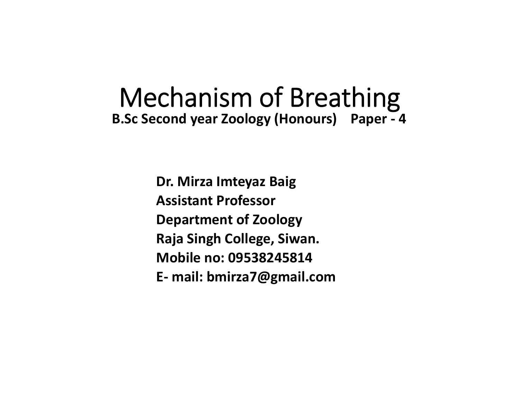# Mechanism of Breathing **B.Sc Second year Zoology (Honours) Paper ‐ 4**

**Dr. Mirza Imteyaz Baig Assistant ProfessorDepartment of Zoology Raja Singh College, Siwan. Mobile no: 09538245814E‐ mail: bmirza7@gmail.com**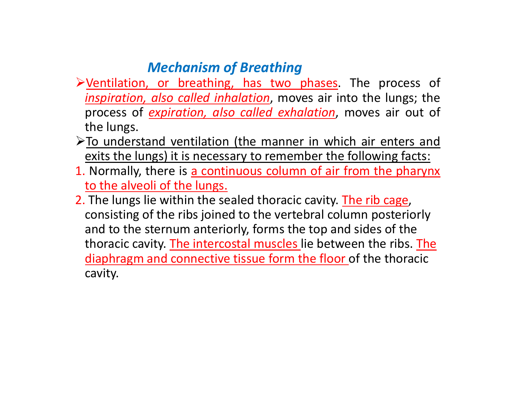## *Mechanism of Breathing*

- Ventilation, or breathing, has two phases. The process of *inspiration, also called inhalation*, moves air into the lungs; the process of *expiration, also called exhalation*, moves air out of the lungs.
- >To understand ventilation (the manner in which air enters and exits the lungs) it is necessary to remember the following facts:
- 1. Normally, there is <u>a continuous column of air from the pharynx</u> to the alveoli of the lungs.
- 2. The lungs lie within the sealed thoracic cavity. The rib cage, consisting of the ribs joined to the vertebral column posteriorly and to the sternum anteriorly, forms the top and sides of the thoracic cavity. The intercostal muscles lie between the ribs. The diaphragm and connective tissue form the floor of the thoracic cavity.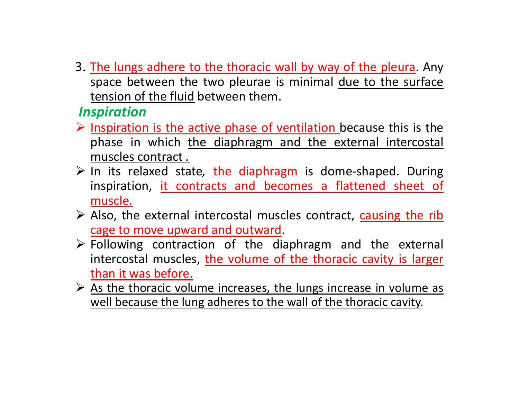3. <u>The lungs adhere to the thoracic wall by way of the pleura</u>. Any space between the two pleurae is minimal due to the surface tension of the fluid between them.

### *Inspiration*

- $\triangleright$  Inspiration is the active phase of ventilation because this is the phase in which the diaphragm and the external intercostal muscles contract *.*
- In its relaxed state*,* the diaphragm is dome‐shaped. During inspiration, it contracts and becomes a flattened sheet of muscle.
- Also, the external intercostal muscles contract, causing the rib cage to move upward and outward.
- $\triangleright$  Following contraction of the diaphragm and the external intercostal muscles, the volume of the thoracic cavity is larger than it was before.
- $\triangleright$  As the thoracic volume increases, the lungs increase in volume as well because the lung adheres to the wall of the thoracic cavity.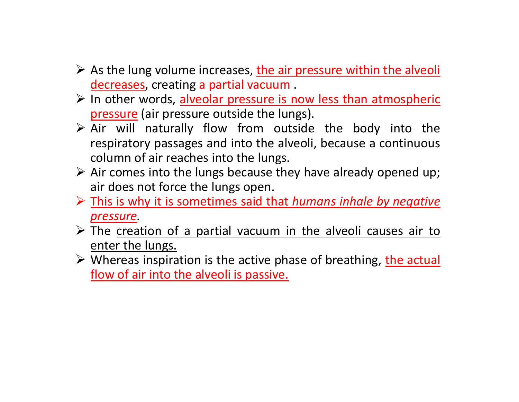- $\triangleright$  As the lung volume increases, the air pressure within the alveolity decreases, creating <sup>a</sup> partial vacuum .
- In other words, alveolar pressure is now less than atmospheric pressure (air pressure outside the lungs).
- $\triangleright$  Air will naturally flow from outside the body into the respiratory passages and into the alveoli, because <sup>a</sup> continuous column of air reaches into the lungs.
- $\triangleright$  Air comes into the lungs because they have already opened up; air does not force the lungs open.
- This is why it is sometimes said that *humans inhale by negative pressure.*
- $\triangleright$  The creation of a partial vacuum in the alveoli causes air to enter the lungs.
- > Whereas inspiration is the active phase of breathing, the actual flow of air into the alveoli is passive.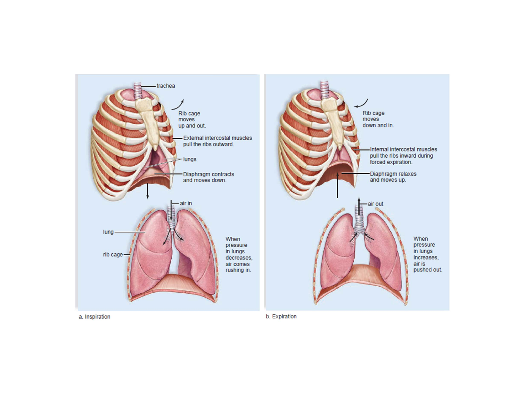

a. Inspiration

b. Expiration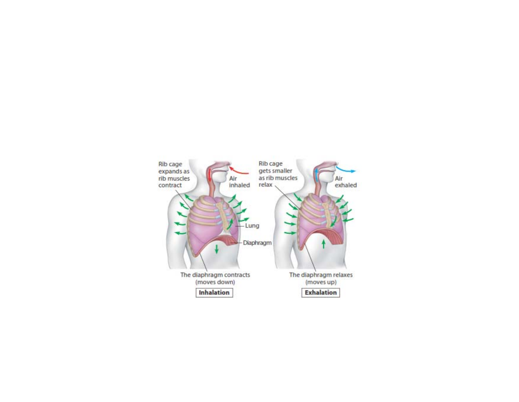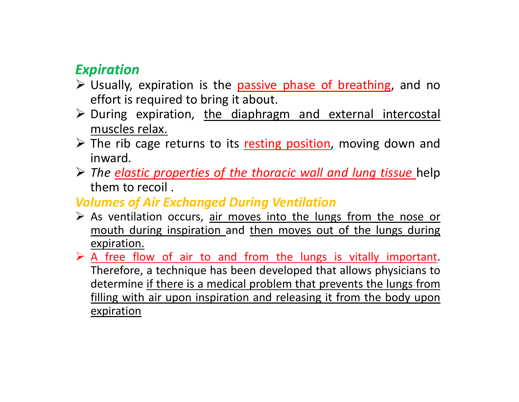## *Expiration*

- > Usually, expiration is the passive phase of breathing, and no effort is required to bring it about.
- $\triangleright$  During expiration, the diaphragm and external intercostal muscles relax.
- $\triangleright$  The rib cage returns to its resting position, moving down and inward*.*
- *The elastic properties of the thoracic wall and lung tissue* help them to recoil .

### *Volumes of Air Exchanged During Ventilation*

- $\triangleright$  As ventilation occurs, air moves into the lungs from the nose or mouth during inspiration and then moves out of the lungs during expiration.
- $\triangleright$  A free flow of air to and from the lungs is vitally important. Therefore, <sup>a</sup> technique has been developed that allows physicians to determine if there is a medical problem that prevents the lungs from filling with air upon inspiration and releasing it from the body upon expiration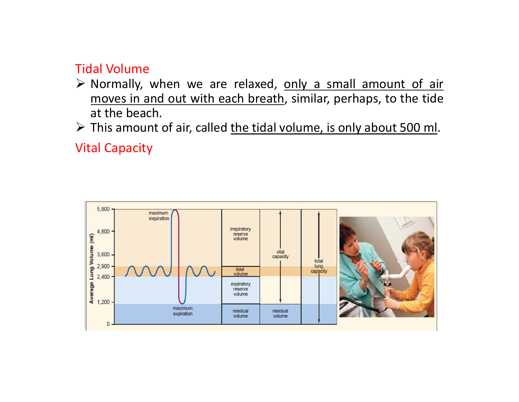#### Tidal Volume

> Normally, when we are relaxed, only a small amount of air moves in and out with each breath, similar, perhaps, to the tide at the beach.

> This amount of air, called the tidal volume, is only about 500 ml.

Vital Capacity

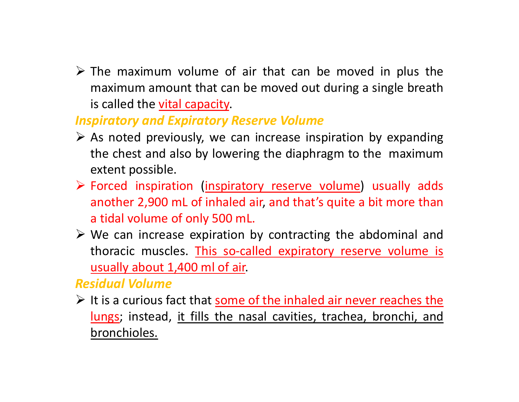$\triangleright$  The maximum volume of air that can be moved in plus the maximum amount that can be moved out during <sup>a</sup> single breath is called the vital capacity.

#### *Inspiratory and Expiratory Reserve Volume*

- $\triangleright$  As noted previously, we can increase inspiration by expanding the chest and also by lowering the diaphragm to the maximum extent possible.
- Forced inspiration (inspiratory reserve volume) usually adds another 2,900 mL of inhaled air, and that's quite <sup>a</sup> bit more than <sup>a</sup> tidal volume of only 500 mL.
- $\triangleright$  We can increase expiration by contracting the abdominal and thoracic muscles. This so-called expiratory reserve volume is usually about 1,400 ml of air.

#### *Residual Volume*

 $\triangleright$  It is a curious fact that some of the inhaled air never reaches the lungs; instead, it fills the nasal cavities, trachea, bronchi, and bronchioles.